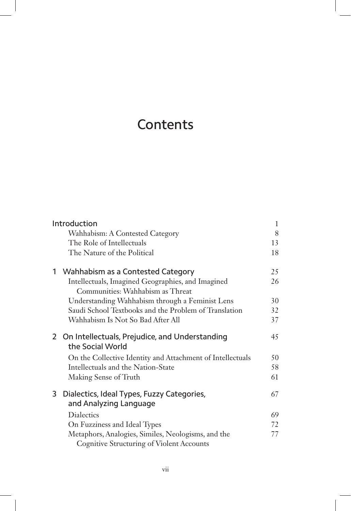## **Contents**

| Introduction |                                                                                                        | 1   |
|--------------|--------------------------------------------------------------------------------------------------------|-----|
|              | Wahhabism: A Contested Category                                                                        | 8   |
|              | The Role of Intellectuals                                                                              | 13  |
|              | The Nature of the Political                                                                            | 18  |
| 1            | Wahhabism as a Contested Category                                                                      | 25  |
|              | Intellectuals, Imagined Geographies, and Imagined<br>Communities: Wahhabism as Threat                  | 26  |
|              | Understanding Wahhabism through a Feminist Lens                                                        | 30  |
|              | Saudi School Textbooks and the Problem of Translation                                                  | 32  |
|              | Wahhabism Is Not So Bad After All                                                                      | 37  |
| 2            | On Intellectuals, Prejudice, and Understanding<br>the Social World                                     | 45  |
|              | On the Collective Identity and Attachment of Intellectuals                                             | 50  |
|              | Intellectuals and the Nation-State                                                                     | 58  |
|              | Making Sense of Truth                                                                                  | 61  |
| 3            | Dialectics, Ideal Types, Fuzzy Categories,<br>and Analyzing Language                                   | 67  |
|              | <b>Dialectics</b>                                                                                      | 69  |
|              | On Fuzziness and Ideal Types                                                                           | 72. |
|              | Metaphors, Analogies, Similes, Neologisms, and the<br><b>Cognitive Structuring of Violent Accounts</b> | 77  |